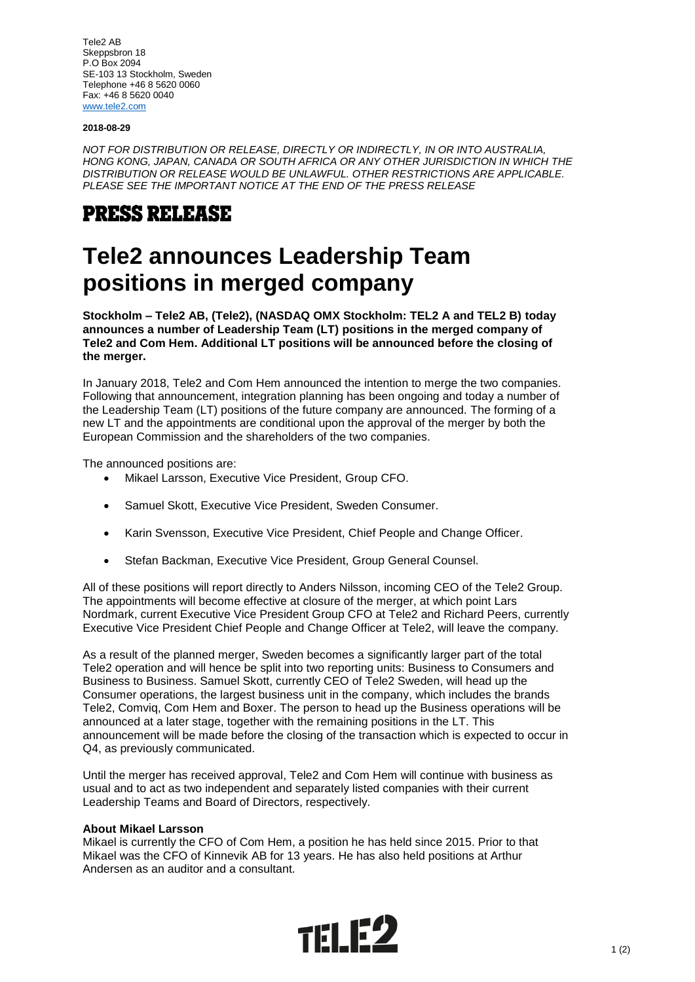Tele2 AB Skeppsbron 18 P.O Box 2094 SE-103 13 Stockholm, Sweden Telephone +46 8 5620 0060 Fax: +46 8 5620 0040 [www.tele2.com](http://www.tele2.com/)

#### **2018-08-29**

*NOT FOR DISTRIBUTION OR RELEASE, DIRECTLY OR INDIRECTLY, IN OR INTO AUSTRALIA, HONG KONG, JAPAN, CANADA OR SOUTH AFRICA OR ANY OTHER JURISDICTION IN WHICH THE DISTRIBUTION OR RELEASE WOULD BE UNLAWFUL. OTHER RESTRICTIONS ARE APPLICABLE. PLEASE SEE THE IMPORTANT NOTICE AT THE END OF THE PRESS RELEASE*

# **PRESS RELEASE**

# **Tele2 announces Leadership Team positions in merged company**

**Stockholm – Tele2 AB, (Tele2), (NASDAQ OMX Stockholm: TEL2 A and TEL2 B) today announces a number of Leadership Team (LT) positions in the merged company of Tele2 and Com Hem. Additional LT positions will be announced before the closing of the merger.**

In January 2018, Tele2 and Com Hem announced the intention to merge the two companies. Following that announcement, integration planning has been ongoing and today a number of the Leadership Team (LT) positions of the future company are announced. The forming of a new LT and the appointments are conditional upon the approval of the merger by both the European Commission and the shareholders of the two companies.

The announced positions are:

- Mikael Larsson, Executive Vice President, Group CFO.
- Samuel Skott, Executive Vice President, Sweden Consumer.
- Karin Svensson, Executive Vice President, Chief People and Change Officer.
- Stefan Backman, Executive Vice President, Group General Counsel.

All of these positions will report directly to Anders Nilsson, incoming CEO of the Tele2 Group. The appointments will become effective at closure of the merger, at which point Lars Nordmark, current Executive Vice President Group CFO at Tele2 and Richard Peers, currently Executive Vice President Chief People and Change Officer at Tele2, will leave the company.

As a result of the planned merger, Sweden becomes a significantly larger part of the total Tele2 operation and will hence be split into two reporting units: Business to Consumers and Business to Business. Samuel Skott, currently CEO of Tele2 Sweden, will head up the Consumer operations, the largest business unit in the company, which includes the brands Tele2, Comviq, Com Hem and Boxer. The person to head up the Business operations will be announced at a later stage, together with the remaining positions in the LT. This announcement will be made before the closing of the transaction which is expected to occur in Q4, as previously communicated.

Until the merger has received approval, Tele2 and Com Hem will continue with business as usual and to act as two independent and separately listed companies with their current Leadership Teams and Board of Directors, respectively.

### **About Mikael Larsson**

Mikael is currently the CFO of Com Hem, a position he has held since 2015. Prior to that Mikael was the CFO of Kinnevik AB for 13 years. He has also held positions at Arthur Andersen as an auditor and a consultant.